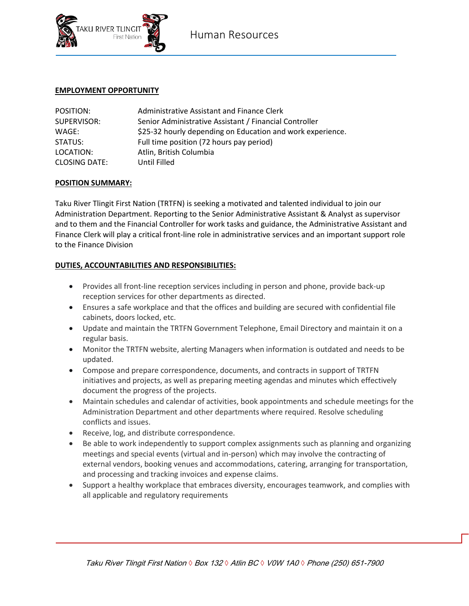

Human Resources

#### **EMPLOYMENT OPPORTUNITY**

| POSITION:            | Administrative Assistant and Finance Clerk                 |
|----------------------|------------------------------------------------------------|
| SUPERVISOR:          | Senior Administrative Assistant / Financial Controller     |
| WAGE:                | \$25-32 hourly depending on Education and work experience. |
| STATUS:              | Full time position (72 hours pay period)                   |
| LOCATION:            | Atlin, British Columbia                                    |
| <b>CLOSING DATE:</b> | Until Filled                                               |

#### **POSITION SUMMARY:**

Taku River Tlingit First Nation (TRTFN) is seeking a motivated and talented individual to join our Administration Department. Reporting to the Senior Administrative Assistant & Analyst as supervisor and to them and the Financial Controller for work tasks and guidance, the Administrative Assistant and Finance Clerk will play a critical front-line role in administrative services and an important support role to the Finance Division

#### **DUTIES, ACCOUNTABILITIES AND RESPONSIBILITIES:**

- Provides all front-line reception services including in person and phone, provide back-up reception services for other departments as directed.
- Ensures a safe workplace and that the offices and building are secured with confidential file cabinets, doors locked, etc.
- Update and maintain the TRTFN Government Telephone, Email Directory and maintain it on a regular basis.
- Monitor the TRTFN website, alerting Managers when information is outdated and needs to be updated.
- Compose and prepare correspondence, documents, and contracts in support of TRTFN initiatives and projects, as well as preparing meeting agendas and minutes which effectively document the progress of the projects.
- Maintain schedules and calendar of activities, book appointments and schedule meetings for the Administration Department and other departments where required. Resolve scheduling conflicts and issues.
- Receive, log, and distribute correspondence.
- Be able to work independently to support complex assignments such as planning and organizing meetings and special events (virtual and in-person) which may involve the contracting of external vendors, booking venues and accommodations, catering, arranging for transportation, and processing and tracking invoices and expense claims.
- Support a healthy workplace that embraces diversity, encourages teamwork, and complies with all applicable and regulatory requirements